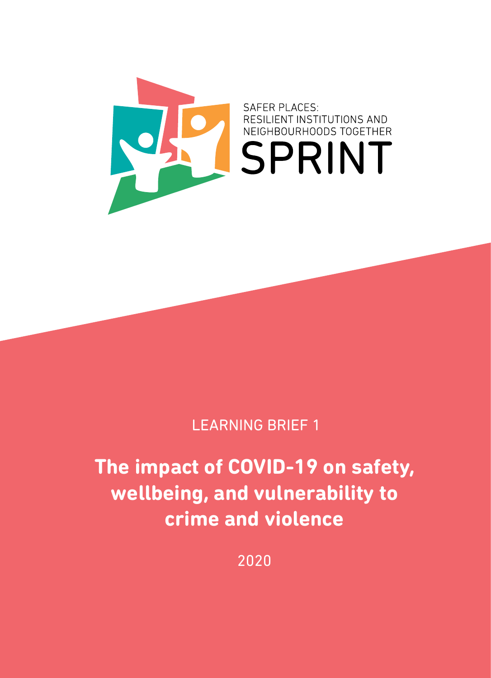

#### LEARNING BRIEF 1

### **The impact of COVID-19 on safety, wellbeing, and vulnerability to crime and violence**

2020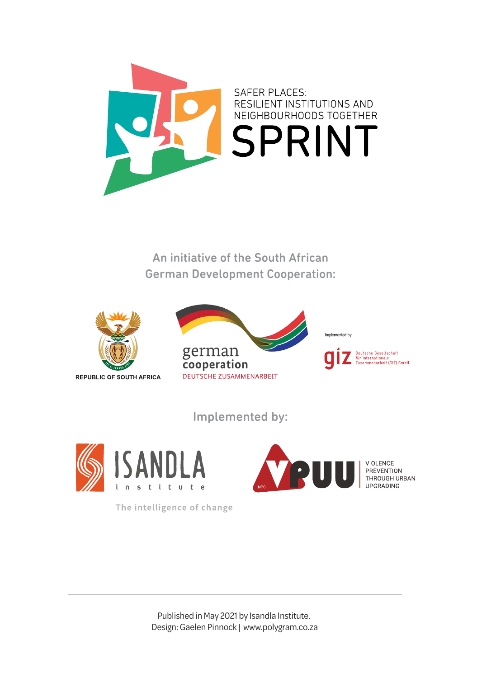

An initiative of the South African German Development Cooperation:



Implemented by:



The intelligence of change



VIOLENCE<br>PREVENTION<br>THROUGH URBAN<br>UPGRADING

Published in May 2021 by Isandla Institute. Design: Gaelen Pinnock | www.polygram.co.za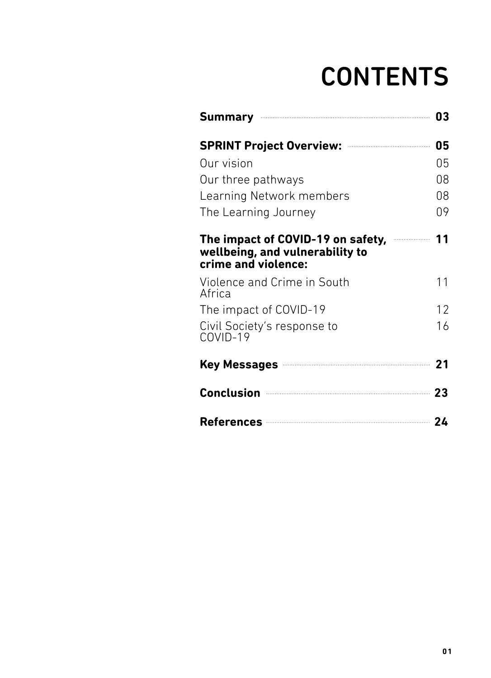## **CONTENTS**

| Summary <b>Commission Commission Commission</b>                                             | 03 |
|---------------------------------------------------------------------------------------------|----|
|                                                                                             | 05 |
| Our vision                                                                                  | 05 |
| Our three pathways                                                                          | 08 |
| Learning Network members                                                                    | 08 |
| The Learning Journey                                                                        | 09 |
| The impact of COVID-19 on safety,<br>wellbeing, and vulnerability to<br>crime and violence: | 11 |
| Violence and Crime in South<br>Africa                                                       | 11 |
| The impact of COVID-19                                                                      | 12 |
| Civil Society's response to<br>COVID-19                                                     | 16 |
| Key Messages 21                                                                             |    |
| Conclusion 23                                                                               |    |
| References 24                                                                               |    |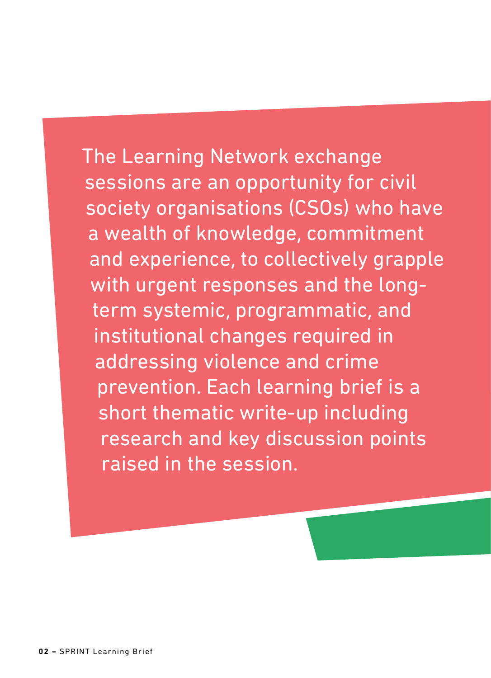The Learning Network exchange sessions are an opportunity for civil society organisations (CSOs) who have a wealth of knowledge, commitment and experience, to collectively grapple with urgent responses and the longterm systemic, programmatic, and institutional changes required in addressing violence and crime prevention. Each learning brief is a short thematic write-up including research and key discussion points raised in the session.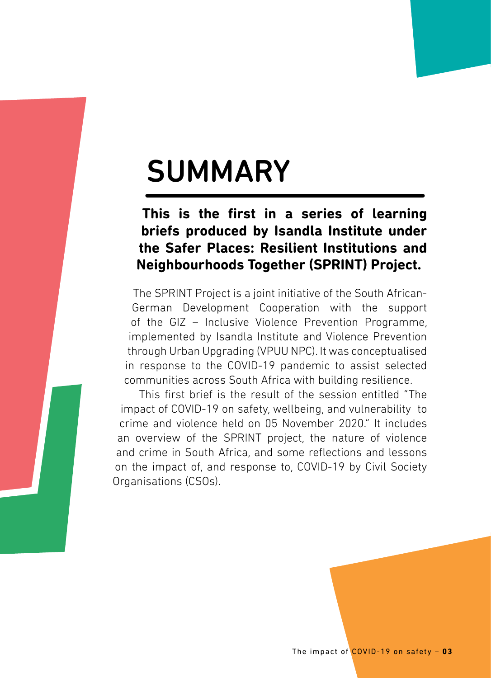## SUMMARY

#### **This is the first in a series of learning briefs produced by Isandla Institute under the Safer Places: Resilient Institutions and Neighbourhoods Together (SPRINT) Project.**

The SPRINT Project is a joint initiative of the South African-German Development Cooperation with the support of the GIZ – Inclusive Violence Prevention Programme, implemented by Isandla Institute and Violence Prevention through Urban Upgrading (VPUU NPC). It was conceptualised in response to the COVID-19 pandemic to assist selected communities across South Africa with building resilience.

This first brief is the result of the session entitled "The impact of COVID-19 on safety, wellbeing, and vulnerability to crime and violence held on 05 November 2020." It includes an overview of the SPRINT project, the nature of violence and crime in South Africa, and some reflections and lessons on the impact of, and response to, COVID-19 by Civil Society Organisations (CSOs).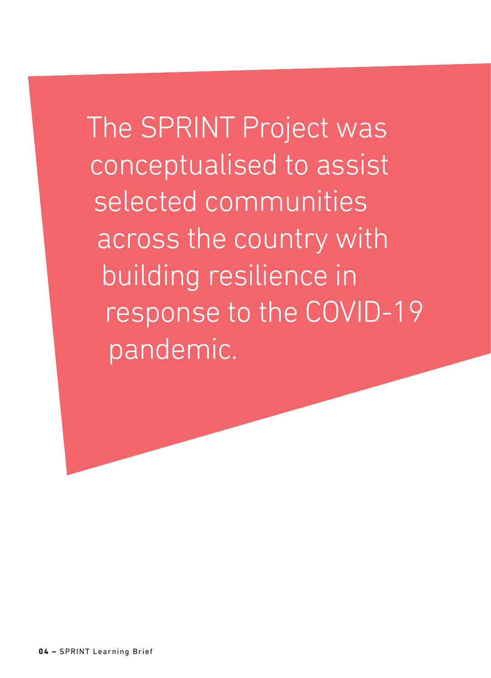The SPRINT Project was conceptualised to assist selected communities across the country with building resilience in response to the COVID-19 pandemic.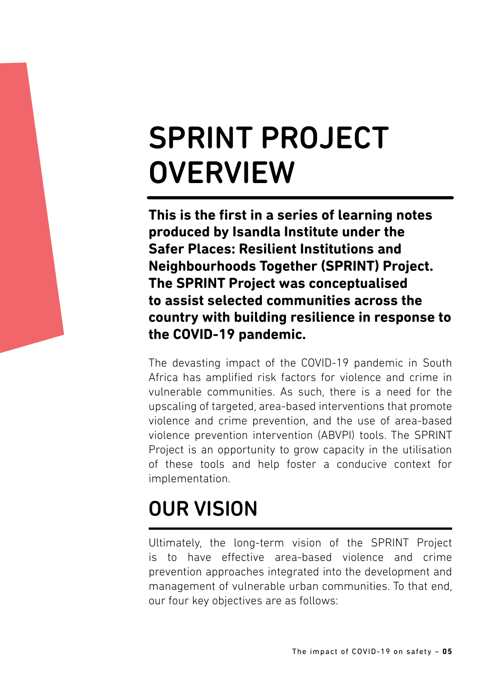## SPRINT PROJECT **OVERVIEW**

**This is the first in a series of learning notes produced by Isandla Institute under the Safer Places: Resilient Institutions and Neighbourhoods Together (SPRINT) Project. The SPRINT Project was conceptualised to assist selected communities across the country with building resilience in response to the COVID-19 pandemic.** 

The devasting impact of the COVID-19 pandemic in South Africa has amplified risk factors for violence and crime in vulnerable communities. As such, there is a need for the upscaling of targeted, area-based interventions that promote violence and crime prevention, and the use of area-based violence prevention intervention (ABVPI) tools. The SPRINT Project is an opportunity to grow capacity in the utilisation of these tools and help foster a conducive context for implementation.

## OUR VISION

Ultimately, the long-term vision of the SPRINT Project is to have effective area-based violence and crime prevention approaches integrated into the development and management of vulnerable urban communities. To that end, our four key objectives are as follows: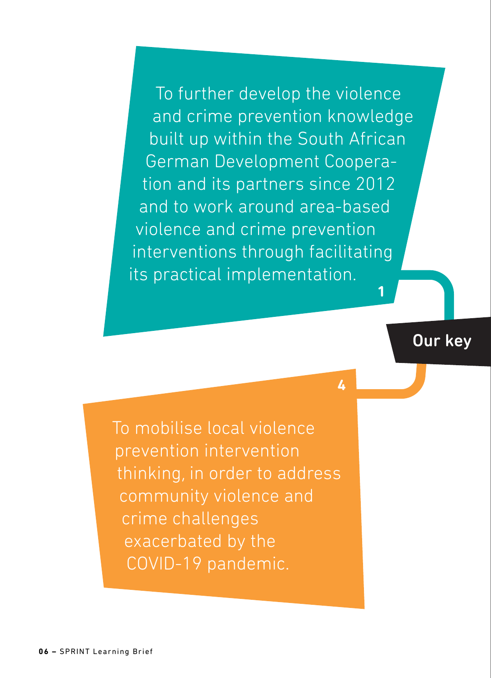To further develop the violence and crime prevention knowledge built up within the South African German Development Cooperation and its partners since 2012 and to work around area-based violence and crime prevention interventions through facilitating its practical implementation.

**Our key** 

**1**

**4**

To mobilise local violence prevention intervention thinking, in order to address community violence and crime challenges exacerbated by the COVID-19 pandemic.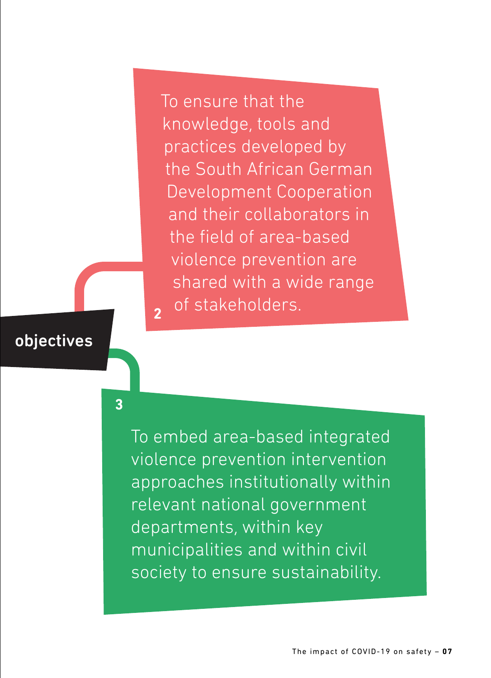To ensure that the knowledge, tools and practices developed by the South African German Development Cooperation and their collaborators in the field of area-based violence prevention are shared with a wide range of stakeholders.

#### objectives

**3**

**2**

To embed area-based integrated violence prevention intervention approaches institutionally within relevant national government departments, within key municipalities and within civil society to ensure sustainability.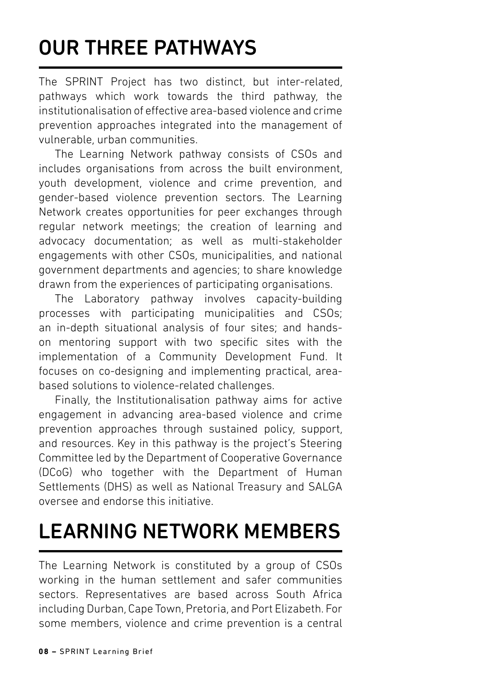## OUR THREE PATHWAYS

The SPRINT Project has two distinct, but inter-related, pathways which work towards the third pathway, the institutionalisation of effective area-based violence and crime prevention approaches integrated into the management of vulnerable, urban communities.

The Learning Network pathway consists of CSOs and includes organisations from across the built environment, youth development, violence and crime prevention, and gender-based violence prevention sectors. The Learning Network creates opportunities for peer exchanges through regular network meetings; the creation of learning and advocacy documentation; as well as multi-stakeholder engagements with other CSOs, municipalities, and national government departments and agencies; to share knowledge drawn from the experiences of participating organisations.

The Laboratory pathway involves capacity-building processes with participating municipalities and CSOs; an in-depth situational analysis of four sites; and handson mentoring support with two specific sites with the implementation of a Community Development Fund. It focuses on co-designing and implementing practical, areabased solutions to violence-related challenges.

Finally, the Institutionalisation pathway aims for active engagement in advancing area-based violence and crime prevention approaches through sustained policy, support, and resources. Key in this pathway is the project's Steering Committee led by the Department of Cooperative Governance (DCoG) who together with the Department of Human Settlements (DHS) as well as National Treasury and SALGA oversee and endorse this initiative.

### **I FARNING NETWORK MEMBERS**

The Learning Network is constituted by a group of CSOs working in the human settlement and safer communities sectors. Representatives are based across South Africa including Durban, Cape Town, Pretoria, and Port Elizabeth. For some members, violence and crime prevention is a central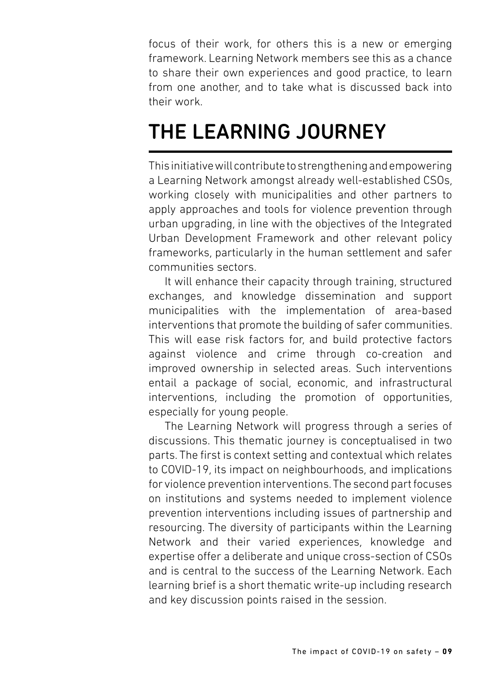focus of their work, for others this is a new or emerging framework. Learning Network members see this as a chance to share their own experiences and good practice, to learn from one another, and to take what is discussed back into their work.

### THE LEARNING JOURNEY

This initiative will contribute to strengthening and empowering a Learning Network amongst already well-established CSOs, working closely with municipalities and other partners to apply approaches and tools for violence prevention through urban upgrading, in line with the objectives of the Integrated Urban Development Framework and other relevant policy frameworks, particularly in the human settlement and safer communities sectors.

It will enhance their capacity through training, structured exchanges, and knowledge dissemination and support municipalities with the implementation of area-based interventions that promote the building of safer communities. This will ease risk factors for, and build protective factors against violence and crime through co-creation and improved ownership in selected areas. Such interventions entail a package of social, economic, and infrastructural interventions, including the promotion of opportunities, especially for young people.

The Learning Network will progress through a series of discussions. This thematic journey is conceptualised in two parts. The first is context setting and contextual which relates to COVID-19, its impact on neighbourhoods, and implications for violence prevention interventions. The second part focuses on institutions and systems needed to implement violence prevention interventions including issues of partnership and resourcing. The diversity of participants within the Learning Network and their varied experiences, knowledge and expertise offer a deliberate and unique cross-section of CSOs and is central to the success of the Learning Network. Each learning brief is a short thematic write-up including research and key discussion points raised in the session.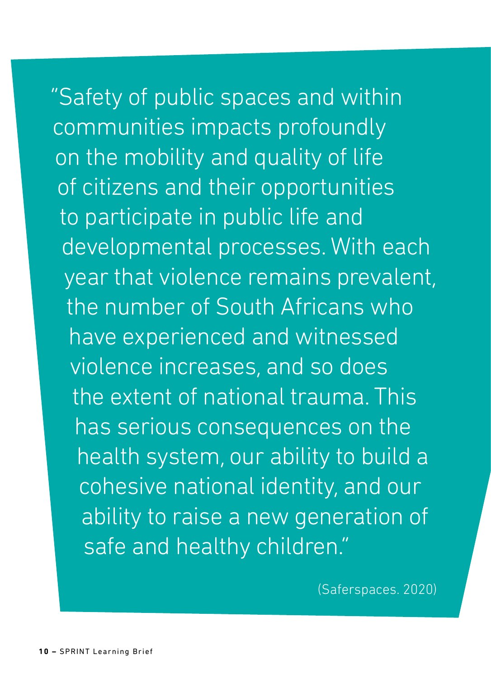"Safety of public spaces and within communities impacts profoundly on the mobility and quality of life of citizens and their opportunities to participate in public life and developmental processes. With each year that violence remains prevalent, the number of South Africans who have experienced and witnessed violence increases, and so does the extent of national trauma. This has serious consequences on the health system, our ability to build a cohesive national identity, and our ability to raise a new generation of safe and healthy children."

(Saferspaces. 2020)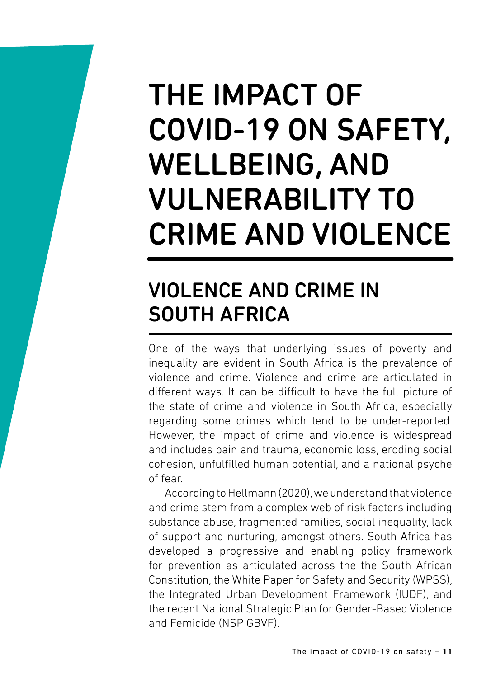## THE IMPACT OF COVID-19 ON SAFETY, WELLBEING, AND VULNERABILITY TO CRIME AND VIOLENCE

### VIOLENCE AND CRIME IN SOUTH AFRICA

One of the ways that underlying issues of poverty and inequality are evident in South Africa is the prevalence of violence and crime. Violence and crime are articulated in different ways. It can be difficult to have the full picture of the state of crime and violence in South Africa, especially regarding some crimes which tend to be under-reported. However, the impact of crime and violence is widespread and includes pain and trauma, economic loss, eroding social cohesion, unfulfilled human potential, and a national psyche of fear.

According to Hellmann (2020), we understand that violence and crime stem from a complex web of risk factors including substance abuse, fragmented families, social inequality, lack of support and nurturing, amongst others. South Africa has developed a progressive and enabling policy framework for prevention as articulated across the the South African Constitution, the White Paper for Safety and Security (WPSS), the Integrated Urban Development Framework (IUDF), and the recent National Strategic Plan for Gender-Based Violence and Femicide (NSP GBVF).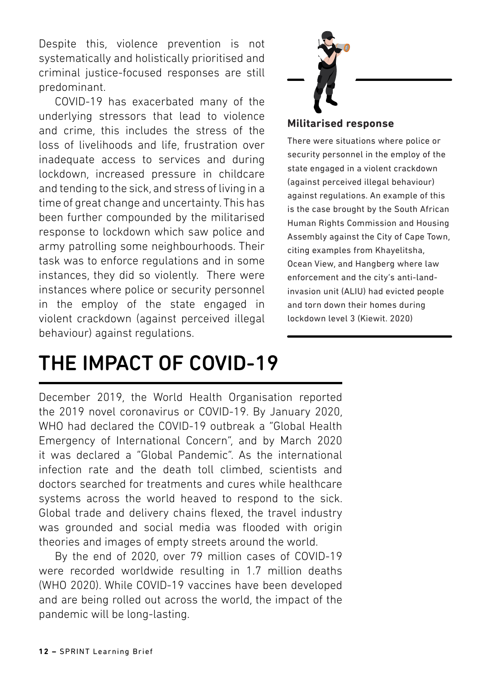Despite this, violence prevention is not systematically and holistically prioritised and criminal justice-focused responses are still predominant.

COVID-19 has exacerbated many of the underlying stressors that lead to violence and crime, this includes the stress of the loss of livelihoods and life, frustration over inadequate access to services and during lockdown, increased pressure in childcare and tending to the sick, and stress of living in a time of great change and uncertainty. This has the crigical change and checktainty. This has been racine, compounded by the initialised army patrolling some neighbourhoods. Their task was to enforce regulations and in some instances, they did so violently. There were instances where police or security personnel in the employ of the state engaged in violent crackdown (against perceived illegal behaviour) against regulations. the field of area based of an



#### **Militarised response**

There were situations where police or security personnel in the employ of the state engaged in a violent crackdown (against perceived illegal behaviour) against regulations. An example of this is the case brought by the South African Human Rights Commission and Housing Assembly against the City of Cape Town, citing examples from Khayelitsha, Ocean View, and Hangberg where law enforcement and the city's anti-landinvasion unit (ALIU) had evicted people and torn down their homes during lockdown level 3 (Kiewit. 2020)

### THE IMPACT OF COVID-19

December 2019, the World Health Organisation reported the 2019 novel coronavirus or COVID-19. By January 2020, WHO had declared the COVID-19 outbreak a "Global Health Emergency of International Concern", and by March 2020 it was declared a "Global Pandemic". As the international infection rate and the death toll climbed, scientists and doctors searched for treatments and cures while healthcare systems across the world heaved to respond to the sick. Global trade and delivery chains flexed, the travel industry was grounded and social media was flooded with origin theories and images of empty streets around the world.

> By the end of 2020, over 79 million cases of COVID-19 were recorded worldwide resulting in 1.7 million deaths (WHO 2020). While COVID-19 vaccines have been developed and are being rolled out across the world, the impact of the pandemic will be long-lasting.

To mobilise local violence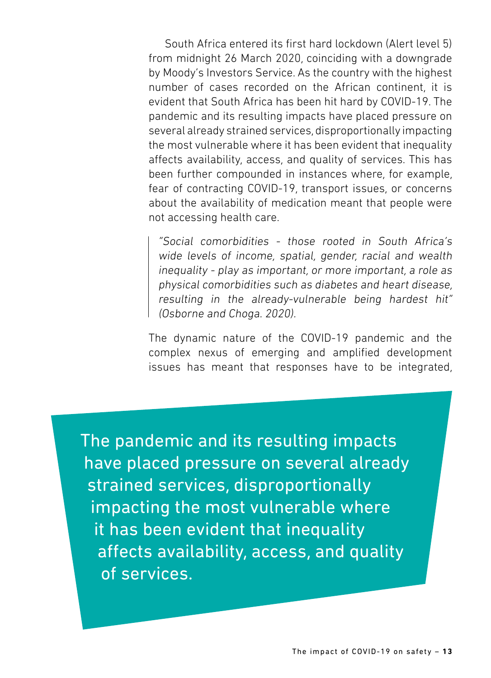South Africa entered its first hard lockdown (Alert level 5) from midnight 26 March 2020, coinciding with a downgrade by Moody's Investors Service. As the country with the highest number of cases recorded on the African continent, it is evident that South Africa has been hit hard by COVID-19. The pandemic and its resulting impacts have placed pressure on several already strained services, disproportionally impacting the most vulnerable where it has been evident that inequality affects availability, access, and quality of services. This has been further compounded in instances where, for example, fear of contracting COVID-19, transport issues, or concerns about the availability of medication meant that people were not accessing health care.

"Social comorbidities - those rooted in South Africa's wide levels of income, spatial, gender, racial and wealth inequality - play as important, or more important, a role as physical comorbidities such as diabetes and heart disease, resulting in the already-vulnerable being hardest hit" (Osborne and Choga. 2020).

The dynamic nature of the COVID-19 pandemic and the complex nexus of emerging and amplified development issues has meant that responses have to be integrated,

The pandemic and its resulting impacts have placed pressure on several already strained services, disproportionally impacting the most vulnerable where it has been evident that inequality affects availability, access, and quality of services.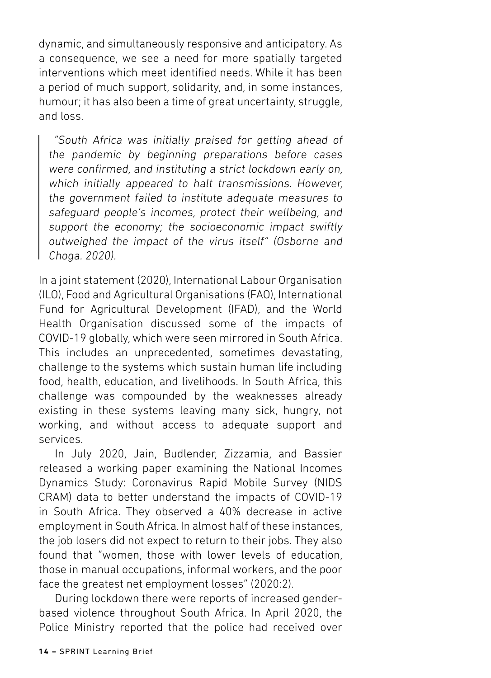dynamic, and simultaneously responsive and anticipatory. As a consequence, we see a need for more spatially targeted interventions which meet identified needs. While it has been a period of much support, solidarity, and, in some instances, humour; it has also been a time of great uncertainty, struggle, and loss.

 "South Africa was initially praised for getting ahead of the pandemic by beginning preparations before cases were confirmed, and instituting a strict lockdown early on, which initially appeared to halt transmissions. However, the government failed to institute adequate measures to safeguard people's incomes, protect their wellbeing, and support the economy; the socioeconomic impact swiftly outweighed the impact of the virus itself" (Osborne and Choga. 2020).

In a joint statement (2020), International Labour Organisation (ILO), Food and Agricultural Organisations (FAO), International Fund for Agricultural Development (IFAD), and the World Health Organisation discussed some of the impacts of COVID-19 globally, which were seen mirrored in South Africa. This includes an unprecedented, sometimes devastating, challenge to the systems which sustain human life including food, health, education, and livelihoods. In South Africa, this challenge was compounded by the weaknesses already existing in these systems leaving many sick, hungry, not working, and without access to adequate support and services.

In July 2020, Jain, Budlender, Zizzamia, and Bassier released a working paper examining the National Incomes Dynamics Study: Coronavirus Rapid Mobile Survey (NIDS CRAM) data to better understand the impacts of COVID-19 in South Africa. They observed a 40% decrease in active employment in South Africa. In almost half of these instances, the job losers did not expect to return to their jobs. They also found that "women, those with lower levels of education, those in manual occupations, informal workers, and the poor face the greatest net employment losses" (2020:2).

During lockdown there were reports of increased genderbased violence throughout South Africa. In April 2020, the Police Ministry reported that the police had received over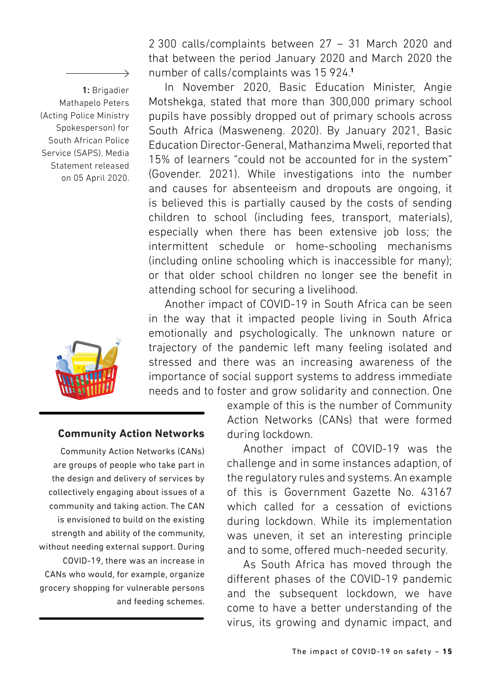1: Brigadier Mathapelo Peters (Acting Police Ministry Spokesperson) for South African Police Service (SAPS). Media Statement released on 05 April 2020.

 $\overline{\phantom{0}}$ 



2 300 calls/complaints between 27 – 31 March 2020 and that between the period January 2020 and March 2020 the number of calls/complaints was 15 924.**<sup>1</sup>**

In November 2020, Basic Education Minister, Angie Motshekga, stated that more than 300,000 primary school pupils have possibly dropped out of primary schools across South Africa (Masweneng. 2020). By January 2021, Basic Education Director-General, Mathanzima Mweli, reported that 15% of learners "could not be accounted for in the system" (Govender. 2021). While investigations into the number and causes for absenteeism and dropouts are ongoing, it is believed this is partially caused by the costs of sending children to school (including fees, transport, materials), especially when there has been extensive job loss; the intermittent schedule or home-schooling mechanisms (including online schooling which is inaccessible for many); or that older school children no longer see the benefit in attending school for securing a livelihood.

Another impact of COVID-19 in South Africa can be seen in the way that it impacted people living in South Africa emotionally and psychologically. The unknown nature or trajectory of the pandemic left many feeling isolated and stressed and there was an increasing awareness of the importance of social support systems to address immediate needs and to foster and grow solidarity and connection. One

#### **Community Action Networks**

Community Action Networks (CANs) are groups of people who take part in the design and delivery of services by collectively engaging about issues of a community and taking action. The CAN is envisioned to build on the existing strength and ability of the community, without needing external support. During COVID-19, there was an increase in CANs who would, for example, organize grocery shopping for vulnerable persons and feeding schemes. example of this is the number of Community Action Networks (CANs) that were formed during lockdown.

Another impact of COVID-19 was the challenge and in some instances adaption, of the regulatory rules and systems. An example of this is Government Gazette No. 43167 which called for a cessation of evictions during lockdown. While its implementation was uneven, it set an interesting principle and to some, offered much-needed security.

As South Africa has moved through the different phases of the COVID-19 pandemic and the subsequent lockdown, we have come to have a better understanding of the virus, its growing and dynamic impact, and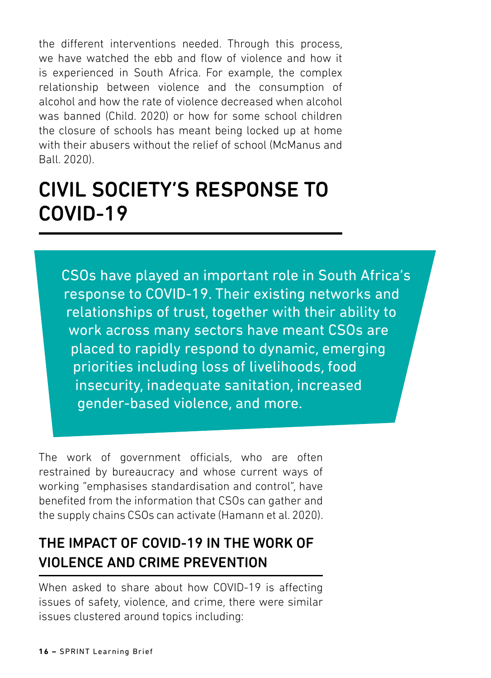the different interventions needed. Through this process, we have watched the ebb and flow of violence and how it is experienced in South Africa. For example, the complex relationship between violence and the consumption of alcohol and how the rate of violence decreased when alcohol was banned (Child. 2020) or how for some school children the closure of schools has meant being locked up at home with their abusers without the relief of school (McManus and Ball. 2020).

### CIVIL SOCIETY'S RESPONSE TO COVID-19

CSOs have played an important role in South Africa's response to COVID-19. Their existing networks and relationships of trust, together with their ability to work across many sectors have meant CSOs are placed to rapidly respond to dynamic, emerging priorities including loss of livelihoods, food insecurity, inadequate sanitation, increased gender-based violence, and more.

The work of government officials, who are often restrained by bureaucracy and whose current ways of working "emphasises standardisation and control", have benefited from the information that CSOs can gather and the supply chains CSOs can activate (Hamann et al. 2020).

### THE IMPACT OF COVID-19 IN THE WORK OF VIOLENCE AND CRIME PREVENTION

When asked to share about how COVID-19 is affecting issues of safety, violence, and crime, there were similar issues clustered around topics including: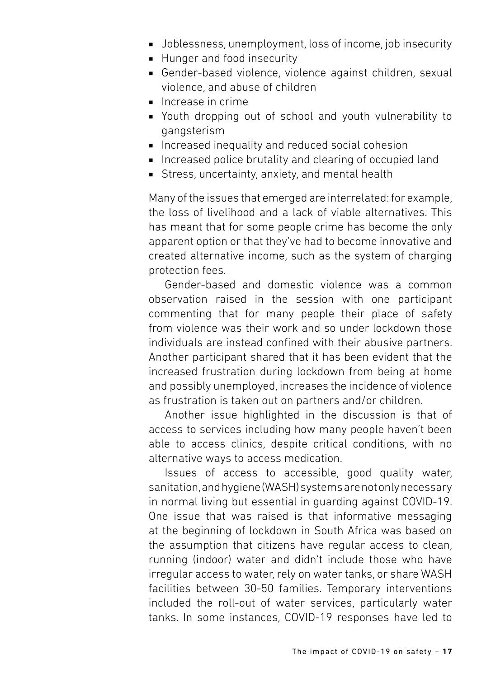- Joblessness, unemployment, loss of income, job insecurity
- Hunger and food insecurity
- Gender-based violence, violence against children, sexual violence, and abuse of children
- Increase in crime
- Youth dropping out of school and youth vulnerability to gangsterism
- Increased inequality and reduced social cohesion
- Increased police brutality and clearing of occupied land
- Stress, uncertainty, anxiety, and mental health

Many of the issues that emerged are interrelated: for example, the loss of livelihood and a lack of viable alternatives. This has meant that for some people crime has become the only apparent option or that they've had to become innovative and created alternative income, such as the system of charging protection fees.

Gender-based and domestic violence was a common observation raised in the session with one participant commenting that for many people their place of safety from violence was their work and so under lockdown those individuals are instead confined with their abusive partners. Another participant shared that it has been evident that the increased frustration during lockdown from being at home and possibly unemployed, increases the incidence of violence as frustration is taken out on partners and/or children.

Another issue highlighted in the discussion is that of access to services including how many people haven't been able to access clinics, despite critical conditions, with no alternative ways to access medication.

Issues of access to accessible, good quality water, sanitation, and hygiene (WASH) systems are not only necessary in normal living but essential in guarding against COVID-19. One issue that was raised is that informative messaging at the beginning of lockdown in South Africa was based on the assumption that citizens have regular access to clean, running (indoor) water and didn't include those who have irregular access to water, rely on water tanks, or share WASH facilities between 30-50 families. Temporary interventions included the roll-out of water services, particularly water tanks. In some instances, COVID-19 responses have led to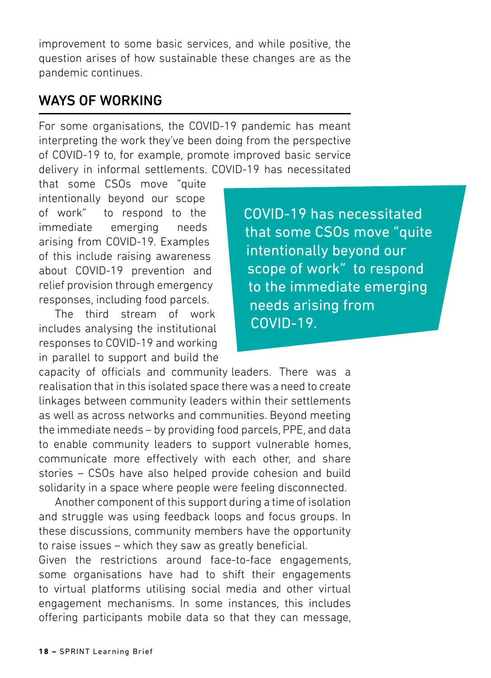improvement to some basic services, and while positive, the question arises of how sustainable these changes are as the pandemic continues.

#### WAYS OF WORKING

For some organisations, the COVID-19 pandemic has meant interpreting the work they've been doing from the perspective of COVID-19 to, for example, promote improved basic service delivery in informal settlements. COVID-19 has necessitated

that some CSOs move "quite intentionally beyond our scope of work" to respond to the immediate emerging needs arising from COVID-19. Examples of this include raising awareness about COVID-19 prevention and relief provision through emergency responses, including food parcels.

The third stream of work includes analysing the institutional responses to COVID-19 and working in parallel to support and build the COVID-19 has necessitated that some CSOs move "quite intentionally beyond our scope of work" to respond to the immediate emerging needs arising from COVID-19.

capacity of officials and community leaders. There was a realisation that in this isolated space there was a need to create linkages between community leaders within their settlements as well as across networks and communities. Beyond meeting the immediate needs – by providing food parcels, PPE, and data to enable community leaders to support vulnerable homes, communicate more effectively with each other, and share stories – CSOs have also helped provide cohesion and build solidarity in a space where people were feeling disconnected.

Another component of this support during a time of isolation and struggle was using feedback loops and focus groups. In these discussions, community members have the opportunity to raise issues – which they saw as greatly beneficial.

Given the restrictions around face-to-face engagements, some organisations have had to shift their engagements to virtual platforms utilising social media and other virtual engagement mechanisms. In some instances, this includes offering participants mobile data so that they can message,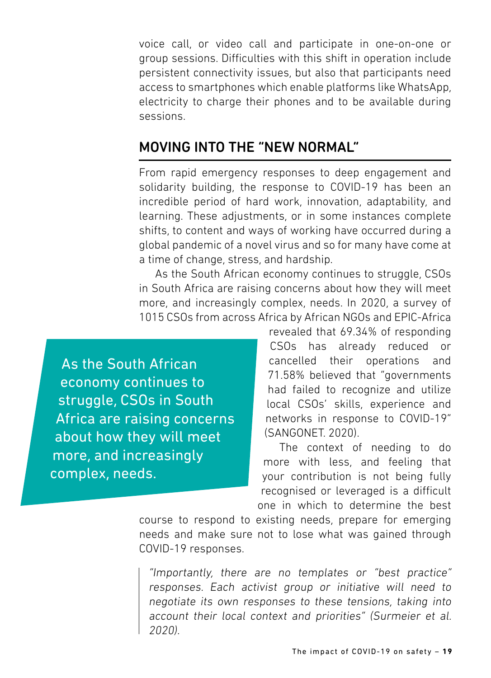voice call, or video call and participate in one-on-one or group sessions. Difficulties with this shift in operation include persistent connectivity issues, but also that participants need access to smartphones which enable platforms like WhatsApp, electricity to charge their phones and to be available during sessions.

#### MOVING INTO THE "NEW NORMAL"

From rapid emergency responses to deep engagement and solidarity building, the response to COVID-19 has been an incredible period of hard work, innovation, adaptability, and learning. These adjustments, or in some instances complete shifts, to content and ways of working have occurred during a global pandemic of a novel virus and so for many have come at a time of change, stress, and hardship.

As the South African economy continues to struggle, CSOs in South Africa are raising concerns about how they will meet more, and increasingly complex, needs. In 2020, a survey of 1015 CSOs from across Africa by African NGOs and EPIC-Africa

As the South African economy continues to struggle, CSOs in South Africa are raising concerns about how they will meet more, and increasingly complex, needs.

revealed that 69.34% of responding CSOs has already reduced or cancelled their operations and 71.58% believed that "governments had failed to recognize and utilize local CSOs' skills, experience and networks in response to COVID-19" (SANGONET. 2020).

The context of needing to do more with less, and feeling that your contribution is not being fully recognised or leveraged is a difficult one in which to determine the best

course to respond to existing needs, prepare for emerging needs and make sure not to lose what was gained through COVID-19 responses.

"Importantly, there are no templates or "best practice" responses. Each activist group or initiative will need to negotiate its own responses to these tensions, taking into account their local context and priorities" (Surmeier et al. 2020).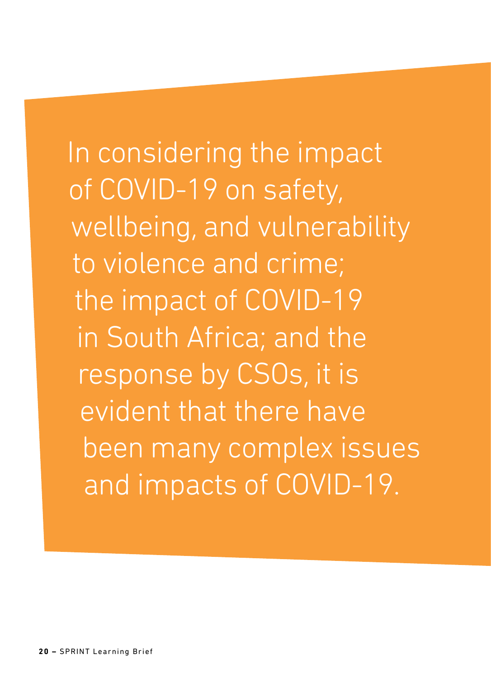In considering the impact of COVID-19 on safety, wellbeing, and vulnerability to violence and crime; the impact of COVID-19 in South Africa; and the response by CSOs, it is evident that there have been many complex issues and impacts of COVID-19.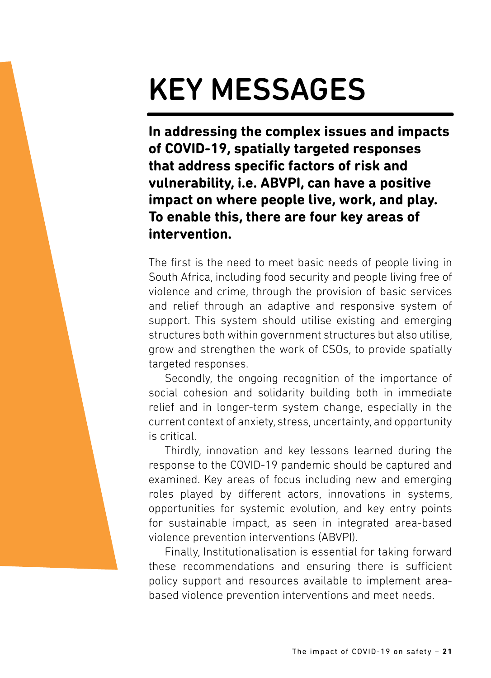# KEY MESSAGES

**In addressing the complex issues and impacts of COVID-19, spatially targeted responses that address specific factors of risk and vulnerability, i.e. ABVPI, can have a positive impact on where people live, work, and play. To enable this, there are four key areas of intervention.**

The first is the need to meet basic needs of people living in South Africa, including food security and people living free of violence and crime, through the provision of basic services and relief through an adaptive and responsive system of support. This system should utilise existing and emerging structures both within government structures but also utilise, grow and strengthen the work of CSOs, to provide spatially targeted responses.

Secondly, the ongoing recognition of the importance of social cohesion and solidarity building both in immediate relief and in longer-term system change, especially in the current context of anxiety, stress, uncertainty, and opportunity is critical.

Thirdly, innovation and key lessons learned during the response to the COVID-19 pandemic should be captured and examined. Key areas of focus including new and emerging roles played by different actors, innovations in systems, opportunities for systemic evolution, and key entry points for sustainable impact, as seen in integrated area-based violence prevention interventions (ABVPI).

Finally, Institutionalisation is essential for taking forward these recommendations and ensuring there is sufficient policy support and resources available to implement areabased violence prevention interventions and meet needs.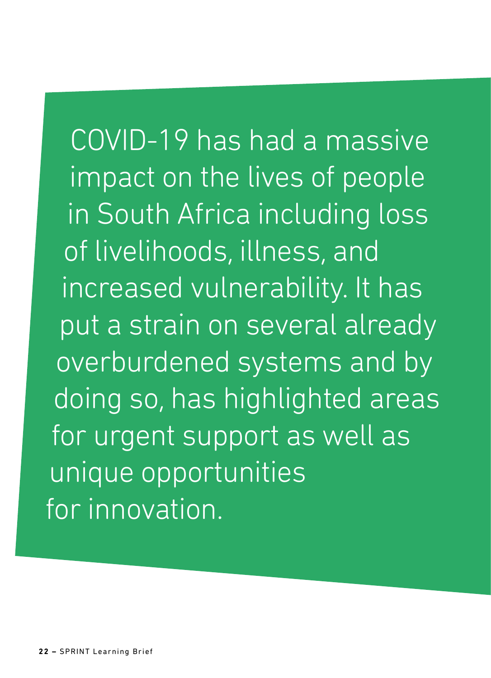COVID-19 has had a massive impact on the lives of people in South Africa including loss of livelihoods, illness, and increased vulnerability. It has put a strain on several already overburdened systems and by doing so, has highlighted areas for urgent support as well as unique opportunities for innovation.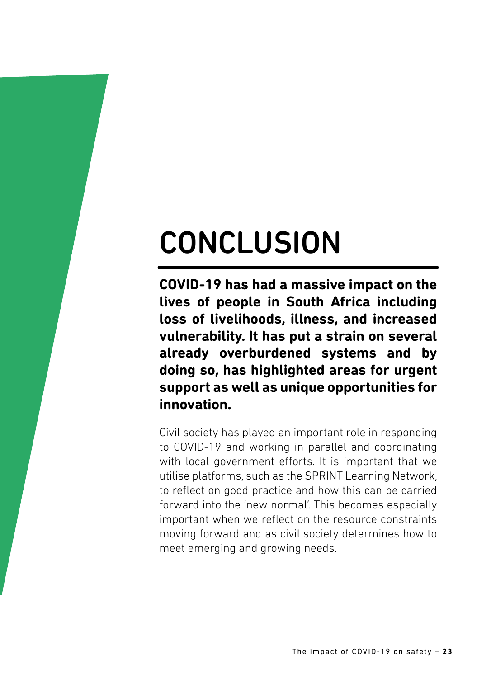# **CONCLUSION**

**COVID-19 has had a massive impact on the lives of people in South Africa including loss of livelihoods, illness, and increased vulnerability. It has put a strain on several already overburdened systems and by doing so, has highlighted areas for urgent support as well as unique opportunities for innovation.** 

Civil society has played an important role in responding to COVID-19 and working in parallel and coordinating with local government efforts. It is important that we utilise platforms, such as the SPRINT Learning Network, to reflect on good practice and how this can be carried forward into the 'new normal'. This becomes especially important when we reflect on the resource constraints moving forward and as civil society determines how to meet emerging and growing needs.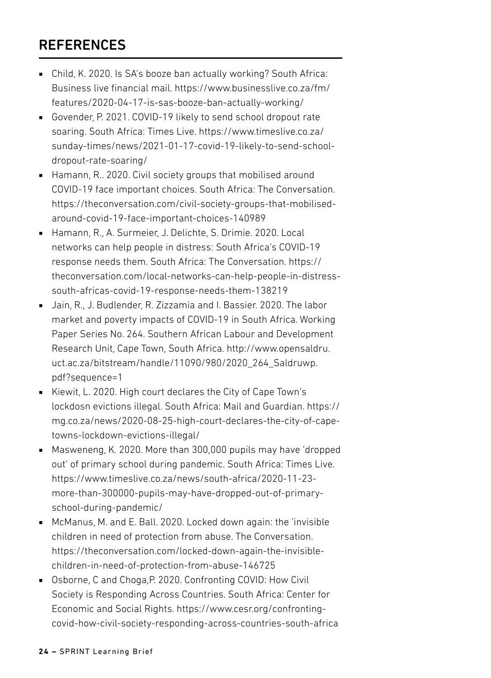#### **REFERENCES**

- Child, K. 2020. Is SA's booze ban actually working? South Africa: Business live financial mail. https://www.businesslive.co.za/fm/ features/2020-04-17-is-sas-booze-ban-actually-working/
- Govender, P. 2021. COVID-19 likely to send school dropout rate soaring. South Africa: Times Live. https://www.timeslive.co.za/ sunday-times/news/2021-01-17-covid-19-likely-to-send-schooldropout-rate-soaring/
- Hamann, R., 2020. Civil society groups that mobilised around COVID-19 face important choices. South Africa: The Conversation. https://theconversation.com/civil-society-groups-that-mobilisedaround-covid-19-face-important-choices-140989
- Hamann, R., A. Surmeier, J. Delichte, S. Drimie. 2020. Local networks can help people in distress: South Africa's COVID-19 response needs them. South Africa: The Conversation. https:// theconversation.com/local-networks-can-help-people-in-distresssouth-africas-covid-19-response-needs-them-138219
- Jain, R., J. Budlender, R. Zizzamia and I. Bassier. 2020. The labor market and poverty impacts of COVID-19 in South Africa. Working Paper Series No. 264. Southern African Labour and Development Research Unit, Cape Town, South Africa. http://www.opensaldru. uct.ac.za/bitstream/handle/11090/980/2020\_264\_Saldruwp. pdf?sequence=1
- Kiewit, L. 2020. High court declares the City of Cape Town's lockdosn evictions illegal. South Africa: Mail and Guardian. https:// mg.co.za/news/2020-08-25-high-court-declares-the-city-of-capetowns-lockdown-evictions-illegal/
- Masweneng, K. 2020. More than 300,000 pupils may have 'dropped out' of primary school during pandemic. South Africa: Times Live. https://www.timeslive.co.za/news/south-africa/2020-11-23 more-than-300000-pupils-may-have-dropped-out-of-primaryschool-during-pandemic/
- McManus, M. and E. Ball. 2020. Locked down again: the 'invisible' children in need of protection from abuse. The Conversation. https://theconversation.com/locked-down-again-the-invisiblechildren-in-need-of-protection-from-abuse-146725
- Osborne, C and Choga, P. 2020, Confronting COVID: How Civil Society is Responding Across Countries. South Africa: Center for Economic and Social Rights. https://www.cesr.org/confrontingcovid-how-civil-society-responding-across-countries-south-africa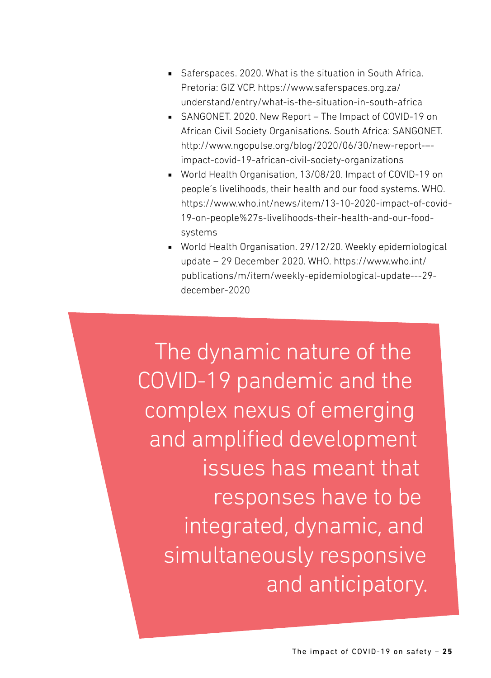- Saferspaces. 2020. What is the situation in South Africa. Pretoria: GIZ VCP. https://www.saferspaces.org.za/ understand/entry/what-is-the-situation-in-south-africa
- SANGONET. 2020. New Report The Impact of COVID-19 on African Civil Society Organisations. South Africa: SANGONET. http://www.ngopulse.org/blog/2020/06/30/new-report-– impact-covid-19-african-civil-society-organizations
- World Health Organisation, 13/08/20. Impact of COVID-19 on people's livelihoods, their health and our food systems. WHO. https://www.who.int/news/item/13-10-2020-impact-of-covid-19-on-people%27s-livelihoods-their-health-and-our-foodsystems
- World Health Organisation. 29/12/20. Weekly epidemiological update – 29 December 2020. WHO. https://www.who.int/ publications/m/item/weekly-epidemiological-update---29 december-2020

The dynamic nature of the COVID-19 pandemic and the complex nexus of emerging and amplified development issues has meant that responses have to be integrated, dynamic, and simultaneously responsive and anticipatory.